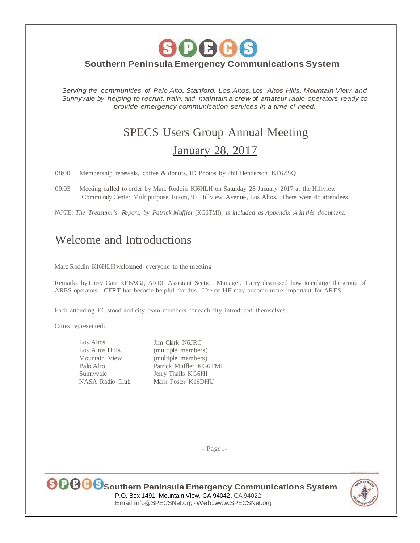*Serving the communities of Palo Alto,Stanford, Los Altos, Los Altos Hills, Mountain View, and Sunnyvale by helping to recruit, train, and maintaina crew of amateur radio operators ready to provide emergency communication services in a time of need.*

# SPECS Users Group Annual Meeting January 28, 2017

08:00 Membership renewals, coffee & donuts, ID Photos by Phil Henderson KF6ZSQ

09:03 Meeting called to order by Marc Roddin KI6HLH on Saturday 28 January 2017 at the Hillview Community Center Multipurpose Room, 97 Hillview Avenue, Los Altos. There were 48 attendees.

*NOTE: The Treasurer's Report, by Patrick Muffler* (KG6TMI), *is included as Appendix .4 in this document.*

# Welcome and Introductions

Marc Roddin KI6HLH welcomed everyone to the meeting

Remarks by Larry Carr KE6AGJ, ARRL Assistant Section Manager. Larry discussed how to enlarge the group of ARES operators. CERT has become helpful for this. Use of HF may become more important for ARES.

Each attending EC stood and city team members for each city introduced themselves.

Cities represented:

Los Altos Los Altos Hills Mountain View Palo Alto Sunnyvale NASA Radio Club Jim Clark N6JRC (multiple members) (multiple members) Patrick Muffler KG6TMI

Jerry Thalls KG6HI Mark Foster K16DHU

- Page1-



**Southern Peninsula Emergency Communications System** P.O. Box 1491, Mountain View, CA 94042, CA <sup>94022</sup> Email:[info@SPECSNet.org](mailto:nfo@SPECSNet.org) ·Web[:www.SPECSNet.org](http://www.specsnet.org/)

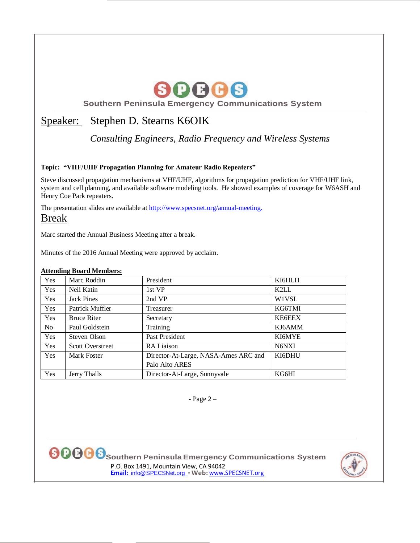

# Speaker: Stephen D. Stearns K6OIK

*Consulting Engineers, Radio Frequency and Wireless Systems*

#### **Topic: "VHF/UHF Propagation Planning for Amateur Radio Repeaters"**

Steve discussed propagation mechanisms at VHF/UHF, algorithms for propagation prediction for VHF/UHF link, system and cell planning, and available software modeling tools. He showed examples of coverage for W6ASH and Henry Coe Park repeaters.

The presentation slides are available at [http://www.specsnet.org/annual-meeting.](http://www.specsnet.org/annual-meeting) Break

Marc started the Annual Business Meeting after a break.

Minutes of the 2016 Annual Meeting were approved by acclaim.

#### **Attending Board Members:**

| Yes            | Marc Roddin             | President                            | KI6HLH |
|----------------|-------------------------|--------------------------------------|--------|
| Yes            | Neil Katin              | 1st VP                               | K2LL   |
| Yes            | <b>Jack Pines</b>       | 2nd VP                               | W1VSL  |
| Yes            | Patrick Muffler         | Treasurer                            | KG6TMI |
| Yes            | <b>Bruce Riter</b>      | Secretary                            | KE6EEX |
| N <sub>o</sub> | Paul Goldstein          | Training                             | KJ6AMM |
| Yes            | Steven Olson            | Past President                       | KI6MYE |
| Yes            | <b>Scott Overstreet</b> | RA Liaison                           | N6NXI  |
| <b>Yes</b>     | Mark Foster             | Director-At-Large, NASA-Ames ARC and | KI6DHU |
|                |                         | Palo Alto ARES                       |        |
| Yes            | Jerry Thalls            | Director-At-Large, Sunnyvale         | KG6HI  |

- Page 2 –



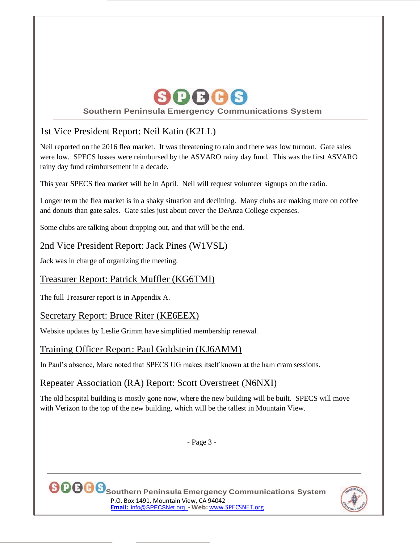

## 1st Vice President Report: Neil Katin (K2LL)

Neil reported on the 2016 flea market. It was threatening to rain and there was low turnout. Gate sales were low. SPECS losses were reimbursed by the ASVARO rainy day fund. This was the first ASVARO rainy day fund reimbursement in a decade.

This year SPECS flea market will be in April. Neil will request volunteer signups on the radio.

Longer term the flea market is in a shaky situation and declining. Many clubs are making more on coffee and donuts than gate sales. Gate sales just about cover the DeAnza College expenses.

Some clubs are talking about dropping out, and that will be the end.

### 2nd Vice President Report: Jack Pines (W1VSL)

Jack was in charge of organizing the meeting.

## Treasurer Report: Patrick Muffler (KG6TMI)

The full Treasurer report is in Appendix A.

#### Secretary Report: Bruce Riter (KE6EEX)

Website updates by Leslie Grimm have simplified membership renewal.

#### Training Officer Report: Paul Goldstein (KJ6AMM)

In Paul's absence, Marc noted that SPECS UG makes itself known at the ham cram sessions.

#### Repeater Association (RA) Report: Scott Overstreet (N6NXI)

The old hospital building is mostly gone now, where the new building will be built. SPECS will move with Verizon to the top of the new building, which will be the tallest in Mountain View.

- Page 3 -



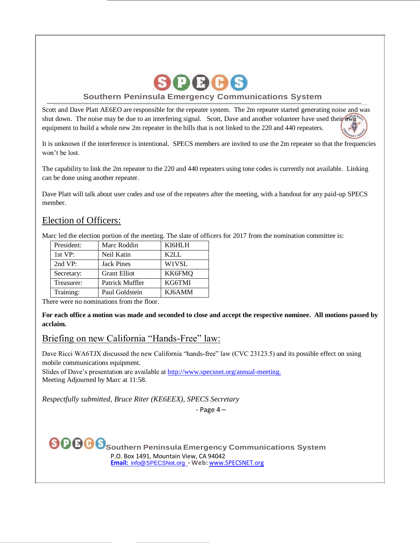

Scott and Dave Platt AE6EO are responsible for the repeater system. The 2m repeater started generating noise and was shut down. The noise may be due to an interfering signal. Scott, Dave and another volunteer have used their own equipment to build a whole new 2m repeater in the hills that is not linked to the 220 and 440 repeaters.

It is unknown if the interference is intentional. SPECS members are invited to use the 2m repeater so that the frequencies won't be lost.

The capability to link the 2m repeater to the 220 and 440 repeaters using tone codes is currently not available. Linking can be done using another repeater.

Dave Platt will talk about user codes and use of the repeaters after the meeting, with a handout for any paid-up SPECS member.

#### Election of Officers:

Marc led the election portion of the meeting. The slate of officers for 2017 from the nomination committee is:

| President: | Marc Roddin         | KI6HLH |
|------------|---------------------|--------|
| 1st VP:    | Neil Katin          | K2I.I. |
| 2nd VP:    | <b>Jack Pines</b>   | W1VSL  |
| Secretary: | <b>Grant Elliot</b> | KK6FMO |
| Treasurer: | Patrick Muffler     | KG6TMI |
| Training:  | Paul Goldstein      | KJ6AMM |

There were no nominations from the floor.

**For each office a motion was made and seconded to close and accept the respective nominee. All motions passed by acclaim.**

#### Briefing on new California "Hands-Free" law:

Dave Ricci WA6TJX discussed the new California "hands-free" law (CVC 23123.5) and its possible effect on using mobile communications equipment.

Slides of Dave's presentation are available at [http://www.specsnet.org/annual-meeting.](http://www.specsnet.org/annual-meeting) Meeting Adjourned by Marc at 11:58.

*Respectfully submitted, Bruce Riter (KE6EEX), SPECS Secretary*

- Page 4 –

 $\bigcirc$  **O O S** Southern Peninsula Emergency Communications System P.O. Box 1491, Mountain View, CA 94042 **Email:** [info@SPECSNet.org](mailto:Email:%20%20info@SPECSNet.org) • **Web:** [www.SPECSNET.org](http://www.specsnet.org/)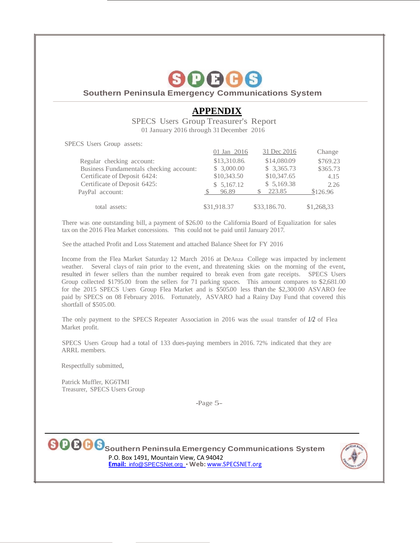

## **APPENDIX**

SPECS Users Group Treasurer's Report 01 January 2016 through 31 December 2016

SPECS Users Group assets:

|                                         | 01 Jan 2016  | 31 Dec 2016  | Change     |
|-----------------------------------------|--------------|--------------|------------|
| Regular checking account:               | \$13,310.86. | \$14,080.09  | \$769.23   |
| Business Fundamentals checking account: | \$3,000.00   | \$3,365.73   | \$365.73   |
| Certificate of Deposit 6424:            | \$10,343.50  | \$10,347.65  | 4.15       |
| Certificate of Deposit 6425:            | \$5,167.12   | \$5,169.38   | 2.26       |
| PayPal account:                         | 96.89        | 223.85       | \$126.96   |
| total assets:                           | \$31,918.37  | \$33,186.70. | \$1,268,33 |

There was one outstanding bill, a payment of \$26.00 to the California Board of Equalization for sales tax on the 2016 Flea Market concessions. This could not be paid until January 2017.

See the attached Profit and Loss Statement and attached Balance Sheet for FY 2016

Income from the Flea Market Saturday 12 March 2016 at DeAnza College was impacted by inclement weather. Several clays of rain prior to the event, and threatening skies on the morning of the event, resulted in fewer sellers than the number required to break even from gate receipts. SPECS Users Group collected \$1795.00 from the sellers for 71 parking spaces. This amount compares to \$2,681.00 for the 2015 SPECS Users Group Flea Market and is \$505.00 less than the \$2,300.00 ASVARO fee paid by SPECS on 08 February 2016. Fortunately, ASVARO had a Rainy Day Fund that covered this shortfall of \$505.00.

The only payment to the SPECS Repeater Association in 2016 was the usual transfer of *1/2* of Flea Market profit.

SPECS Users Group had a total of 133 dues-paying members in 2016. 72% indicated that they are ARRL members.

Respectfully submitted,

Patrick Muffler, KG6TMI Treasurer, SPECS Users Group

-Page 5-

**Southern Peninsula Emergency Communications System** P.O. Box 1491, Mountain View, CA 94042 **Email:** [info@SPECSNet.org](mailto:Email:%20%20info@SPECSNet.org) • **Web:** [www.SPECSNET.org](http://www.specsnet.org/)

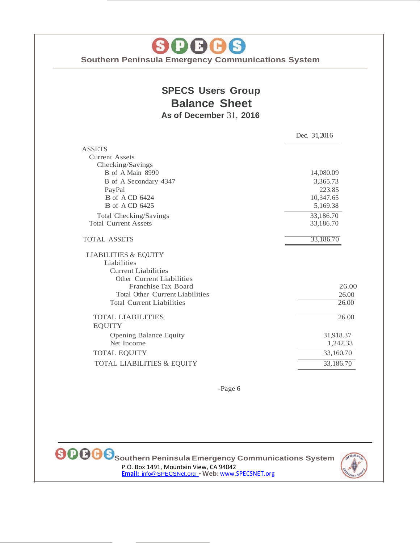80006

# **SPECS Users Group Balance Sheet As of December** 31, **2016**

|                                        | Dec. 31,2016 |
|----------------------------------------|--------------|
| <b>ASSETS</b>                          |              |
| <b>Current Assets</b>                  |              |
| Checking/Savings                       |              |
| B of A Main 8990                       | 14,080.09    |
| B of A Secondary 4347                  | 3,365.73     |
| PayPal                                 | 223.85       |
| <b>B</b> of A CD 6424                  | 10,347.65    |
| <b>B</b> of A CD 6425                  | 5,169.38     |
| Total Checking/Savings                 | 33,186.70    |
| <b>Total Current Assets</b>            | 33,186.70    |
| <b>TOTAL ASSETS</b>                    | 33,186.70    |
| <b>LIABILITIES &amp; EQUITY</b>        |              |
| Liabilities                            |              |
| <b>Current Liabilities</b>             |              |
| Other Current Liabilities              |              |
| Franchise Tax Board                    | 26.00        |
| <b>Total Other Current Liabilities</b> | 26.00        |
| <b>Total Current Liabilities</b>       | 26.00        |
| <b>TOTAL LIABILITIES</b>               | 26.00        |
| <b>EQUITY</b>                          |              |
| <b>Opening Balance Equity</b>          | 31,918.37    |
| Net Income                             | 1,242.33     |
| <b>TOTAL EQUITY</b>                    | 33,160.70    |
| TOTAL LIABILITIES & EQUITY             | 33,186.70    |

-Page 6